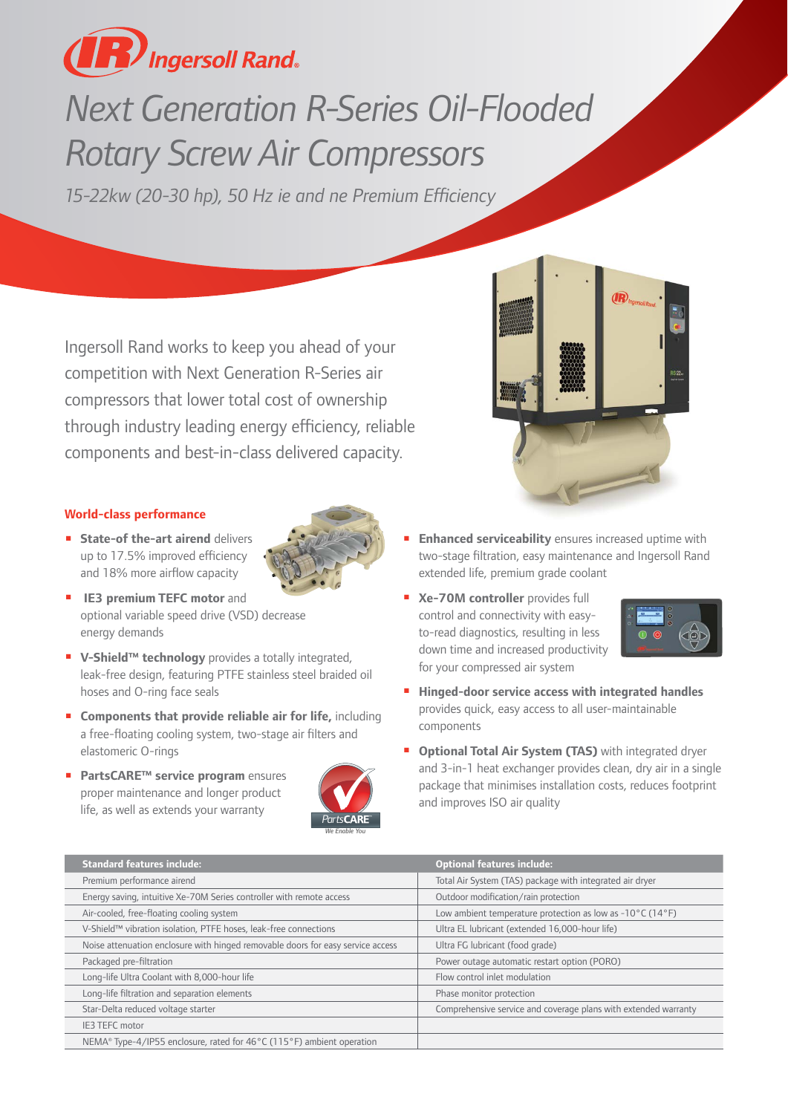

## *Next Generation R-Series Oil-Flooded Rotary Screw Air Compressors*

*15-22kw (20-30 hp), 50 Hz ie and ne Premium Efficiency*

Ingersoll Rand works to keep you ahead of your competition with Next Generation R-Series air compressors that lower total cost of ownership through industry leading energy efficiency, reliable components and best-in-class delivered capacity.



## **World-class performance**

- **E** State-of the-art airend delivers up to 17.5% improved efficiency and 18% more airflow capacity
- 
- **n** IE3 premium TEFC motor and optional variable speed drive (VSD) decrease energy demands
- V-Shield<sup>™</sup> technology provides a totally integrated, leak-free design, featuring PTFE stainless steel braided oil hoses and O-ring face seals
- **E** Components that provide reliable air for life, including a free-floating cooling system, two-stage air filters and elastomeric O-rings
- **PartsCARE™ service program** ensures proper maintenance and longer product life, as well as extends your warranty



- **Enhanced serviceability** ensures increased uptime with two-stage filtration, easy maintenance and Ingersoll Rand extended life, premium grade coolant
- **Ne-70M controller** provides full control and connectivity with easyto-read diagnostics, resulting in less down time and increased productivity for your compressed air system



- $\blacksquare$  Hinged-door service access with integrated handles provides quick, easy access to all user-maintainable components
- **n** Optional Total Air System (TAS) with integrated dryer and 3-in-1 heat exchanger provides clean, dry air in a single package that minimises installation costs, reduces footprint and improves ISO air quality

| <b>Standard features include:</b>                                               | <b>Optional features include:</b>                                              |
|---------------------------------------------------------------------------------|--------------------------------------------------------------------------------|
| Premium performance airend                                                      | Total Air System (TAS) package with integrated air dryer                       |
| Energy saving, intuitive Xe-70M Series controller with remote access            | Outdoor modification/rain protection                                           |
| Air-cooled, free-floating cooling system                                        | Low ambient temperature protection as low as $-10^{\circ}$ C (14 $^{\circ}$ F) |
| V-Shield™ vibration isolation, PTFE hoses, leak-free connections                | Ultra EL lubricant (extended 16,000-hour life)                                 |
| Noise attenuation enclosure with hinged removable doors for easy service access | Ultra FG lubricant (food grade)                                                |
| Packaged pre-filtration                                                         | Power outage automatic restart option (PORO)                                   |
| Long-life Ultra Coolant with 8,000-hour life                                    | Flow control inlet modulation                                                  |
| Long-life filtration and separation elements                                    | Phase monitor protection                                                       |
| Star-Delta reduced voltage starter                                              | Comprehensive service and coverage plans with extended warranty                |
| IE3 TEFC motor                                                                  |                                                                                |
| NEMA® Type-4/IP55 enclosure, rated for 46°C (115°F) ambient operation           |                                                                                |